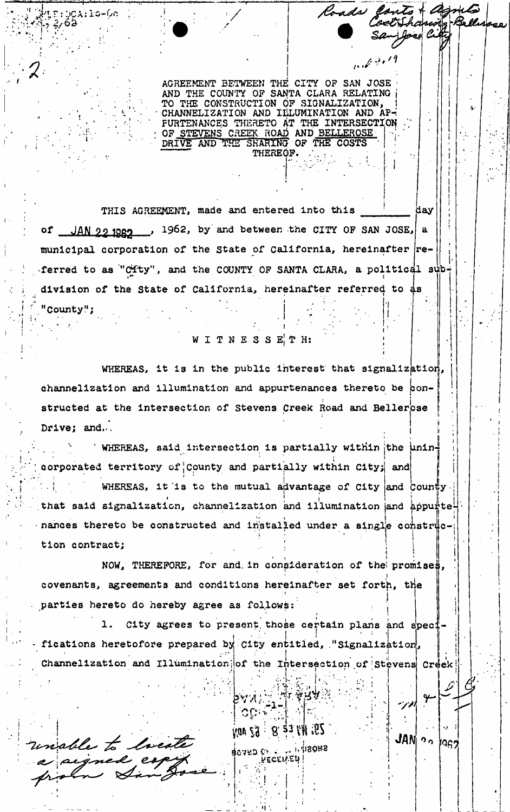AGREEMENT BETWEEN THE CITY OF SAN JOSE AND THE COUNTY OF SANTA CLARA RELATING TO THE CONSTRUCTION OF SIGNALIZATION, CHANNELIZATION AND ILLUMINATION AND AP-FURTENANCES THERETO AT THE INTERSECTION OF STEVENS CREEK ROAD AND BELLEROSE DRIVE AND THE SHARING OF THE COSTS THEREOF.

Roads Conts & Agnits<br>Coet Shawig Belle

Jose Cil

THIS AGREEMENT, made and entered into this day of  $\Box$  JAN 221962  $\Box$ , 1962, by and between the CITY OF SAN JOSE, a municipal corporation of the State of California, hereinafter referred to as "City", and the COUNTY OF SANTA CLARA, a political sub division of the State of California, hereinafter referred to as "County";

## W I T N E S S E¦ T H:

WHEREAS, it is in the public interest that signalization, channelization and illumination and appurtenances thereto be constructed at the intersection of Stevens Creek Road and Bellerose Drive; and...

. WHEREAS, said intersection is partially within the unincorporated territory of County and partially within City; and WHEREAS, it is to the mutual advantage of City and County.

that said signalization, channelization and illumination and appuntel -nances thereto be constructed and installed under a single construction contract;

NOW, THEREFORE, for and in consideration of the promises, covenants, agreements and conditions hereinafter set forth, the parties hereto do hereby agree as follows:

ı. City agrees to present those certain plans and specifications heretofore prepared by City entitled, "Signalization, Channelization and Illumination of the Intersection of Stevens Creek

 $CC^{11}$ 

unable to locate pegned

E:DCA:10-Qe

62

Kav 29 : 8. 33 KN 162  $1.1.4180R5$ BOYED OF -HECEINEY!

**MACHE AL ARA** 

JAN 00 1957

¦ مد ¦

لأنوا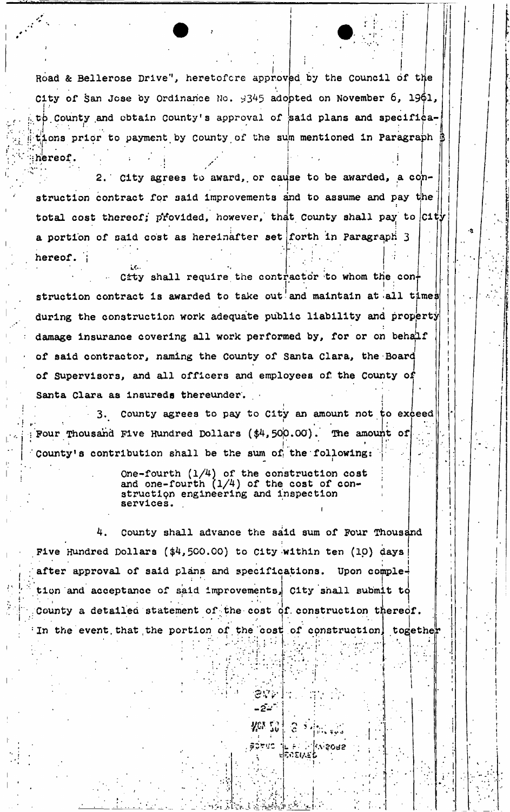Road & Bellerose Drive", heretofore approved by the Council of the City of San Jose by Ordinance No.  $\frac{1345}{300}$  adopted on November 6, 1961, to County and obtain County's approval of said plans and specifica- $\mathbb{P}^1$  is a set of  $\mathbb{P}^1$  . The set of  $\mathbb{P}^1$  $1$  it tions prior to payment by County of the sum mentioned in Paragraph **\*** "  $\frac{1}{2}$  is the proof of payment by county of the and wenterthem and function  $\frac{1}{2}$  $\mathbf{r} \in \mathbb{R}^d$  ,  $\mathbf{r} \in \mathbb{R}^d$  ,  $\mathbf{r} \in \mathbb{R}^d$  ,  $\mathbf{r} \in \mathbb{R}^d$  ,  $\mathbf{r} \in \mathbb{R}^d$  ,  $\mathbf{r} \in \mathbb{R}^d$  ,  $\mathbf{r} \in \mathbb{R}^d$  ,  $\mathbf{r} \in \mathbb{R}^d$  ,  $\mathbf{r} \in \mathbb{R}^d$  ,  $\mathbf{r} \in \mathbb{R}^d$  ,  $\mathbf{r} \in \math$ 

»

'' .

2. City agrees to award, or cause to be awarded, a construction contract for said improvements and to assume and pay the total cost thereof; provided, however, that County shall pay to  $|$ Cit;  $t \sim \frac{1}{2}$ a portion of said cost as hereinafter set forth in Paragraph 3 hereof.

Lc.-  $+$  City shall require the contractor to whom the construction contract is awarded to take out and maintain at all times during the construction work adequate public liability and property damage insurance covering all work performed by, for or on behalf damage insurance covering all work performed by, for or or on behalf  $\mathcal{O}(\mathcal{A})$ of said contractor, naming the County of Santa Clara, the Board<br>of Supervisors, and all officers and employees of the County of of Supervisors, and all officers and all officers and employees of the County of the County of the County of the County of the County of the County of the County of the County of the County of the County of the County of

Santa Clara as insured there is a insured there is a insured transition of  $\mathcal{A}$  $y$  an amount not  $\frac{1}{y}$ o  $\mathcal{S}^{\mathcal{S}}$  county agrees to pay to City an amount not to exceed • Pour Thousand Five Hundred Dollars (\$4, 50|0.00). The amount of County's contribution shall be the sum of the following:

> One-fourth  $(1/4)$  of the construction cost<br>and one-fourth  $(1/4)$  of the cost of con- $(1/4)$  of the cost of constructipn engineering and inspection services. .

4. county shall advance the said sum of Pour Thousand Five Hundred Dollars (\$4,500.00) to City within ten (10) days after approval of said plans and specifications. Upon completion and acceptance of said improvements, City shall submit to County a detailed statement of the cost of construction thereof. In the event that the portion of the cost of construction, together

. i

 $k_{\rm F}$  ?  $\alpha$ • .«. ' *»* ! :• • w ¥ v Sorgo **MA 2082** 

さいい  $-2$  $-1$ 

" i •

 $\left\{ \cdot\right\}$  :